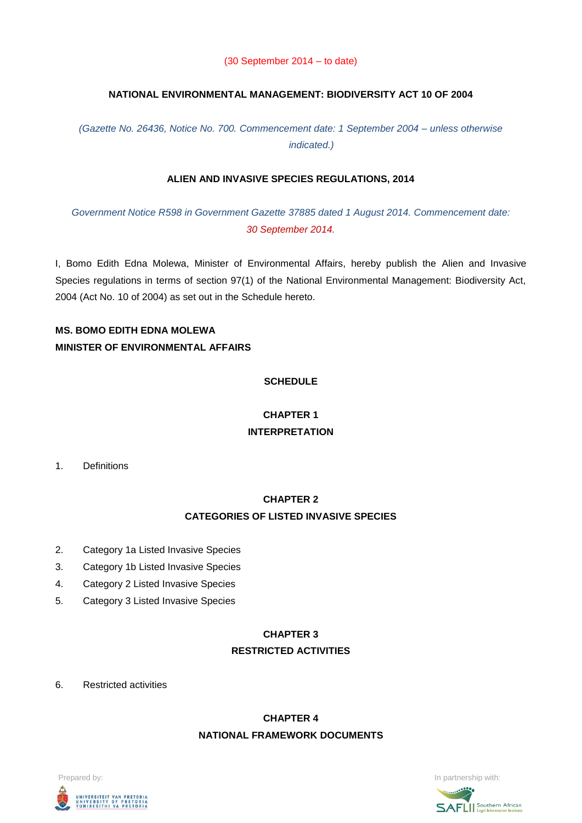#### (30 September 2014 – to date)

### **NATIONAL ENVIRONMENTAL MANAGEMENT: BIODIVERSITY ACT 10 OF 2004**

*(Gazette No. 26436, Notice No. 700. Commencement date: 1 September 2004 – unless otherwise indicated.)*

### **ALIEN AND INVASIVE SPECIES REGULATIONS, 2014**

*Government Notice R598 in Government Gazette 37885 dated 1 August 2014. Commencement date: 30 September 2014.*

I, Bomo Edith Edna Molewa, Minister of Environmental Affairs, hereby publish the Alien and Invasive Species regulations in terms of section 97(1) of the National Environmental Management: Biodiversity Act, 2004 (Act No. 10 of 2004) as set out in the Schedule hereto.

### **MS. BOMO EDITH EDNA MOLEWA MINISTER OF ENVIRONMENTAL AFFAIRS**

### **SCHEDULE**

# **CHAPTER 1 INTERPRETATION**

1. Definitions

# **CHAPTER 2 CATEGORIES OF LISTED INVASIVE SPECIES**

- 2. Category 1a Listed Invasive Species
- 3. Category 1b Listed Invasive Species
- 4. Category 2 Listed Invasive Species
- 5. Category 3 Listed Invasive Species

### **CHAPTER 3 RESTRICTED ACTIVITIES**

6. Restricted activities

# **CHAPTER 4 NATIONAL FRAMEWORK DOCUMENTS**

# Prepared by: **In partnership with:**  $\blacksquare$  **In partnership with:**  $\blacksquare$  **In partnership with:**  $\blacksquare$ UNIVERSITEIT VAN PRETORIA<br>UNIVERSITY OF PRETORIA<br>YUNIBESITHI YA PRETORIA

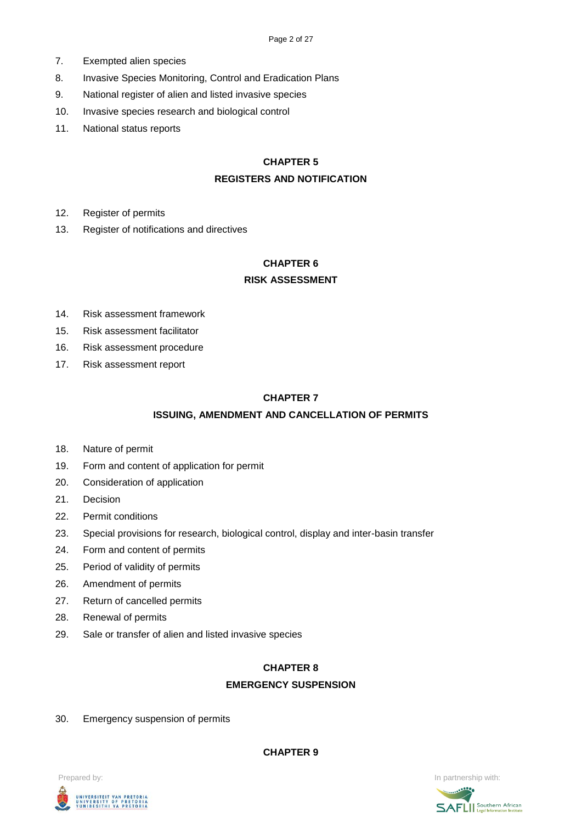- 7. Exempted alien species
- 8. Invasive Species Monitoring, Control and Eradication Plans
- 9. National register of alien and listed invasive species
- 10. Invasive species research and biological control
- 11. National status reports

### **CHAPTER 5**

### **REGISTERS AND NOTIFICATION**

- 12. Register of permits
- 13. Register of notifications and directives

### **CHAPTER 6**

### **RISK ASSESSMENT**

- 14. Risk assessment framework
- 15. Risk assessment facilitator
- 16. Risk assessment procedure
- 17. Risk assessment report

### **CHAPTER 7**

### **ISSUING, AMENDMENT AND CANCELLATION OF PERMITS**

- 18. Nature of permit
- 19. Form and content of application for permit
- 20. Consideration of application
- 21. Decision
- 22. Permit conditions
- 23. Special provisions for research, biological control, display and inter-basin transfer
- 24. Form and content of permits
- 25. Period of validity of permits
- 26. Amendment of permits
- 27. Return of cancelled permits
- 28. Renewal of permits
- 29. Sale or transfer of alien and listed invasive species

### **CHAPTER 8**

### **EMERGENCY SUSPENSION**

30. Emergency suspension of permits

**CHAPTER 9**



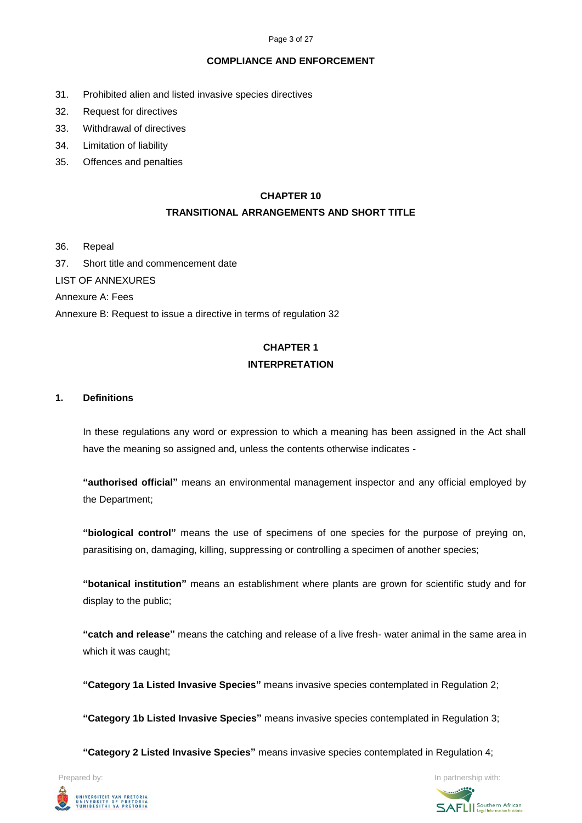#### Page 3 of 27

#### **COMPLIANCE AND ENFORCEMENT**

- 31. Prohibited alien and listed invasive species directives
- 32. Request for directives
- 33. Withdrawal of directives
- 34. Limitation of liability
- 35. Offences and penalties

### **CHAPTER 10**

### **TRANSITIONAL ARRANGEMENTS AND SHORT TITLE**

- 36. Repeal
- 37. Short title and commencement date
- LIST OF ANNEXURES

Annexure A: Fees

Annexure B: Request to issue a directive in terms of regulation 32

# **CHAPTER 1 INTERPRETATION**

### **1. Definitions**

In these regulations any word or expression to which a meaning has been assigned in the Act shall have the meaning so assigned and, unless the contents otherwise indicates -

**"authorised official"** means an environmental management inspector and any official employed by the Department;

**"biological control"** means the use of specimens of one species for the purpose of preying on, parasitising on, damaging, killing, suppressing or controlling a specimen of another species;

**"botanical institution"** means an establishment where plants are grown for scientific study and for display to the public;

**"catch and release"** means the catching and release of a live fresh- water animal in the same area in which it was caught;

**"Category 1a Listed Invasive Species"** means invasive species contemplated in Regulation 2;

**"Category 1b Listed Invasive Species"** means invasive species contemplated in Regulation 3;

**"Category 2 Listed Invasive Species"** means invasive species contemplated in Regulation 4;



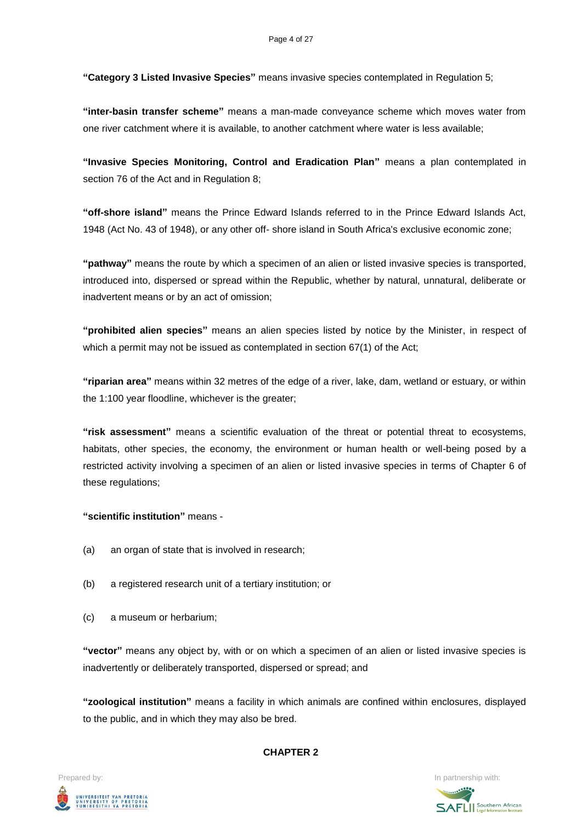**"Category 3 Listed Invasive Species"** means invasive species contemplated in Regulation 5;

**"inter-basin transfer scheme"** means a man-made conveyance scheme which moves water from one river catchment where it is available, to another catchment where water is less available;

**"Invasive Species Monitoring, Control and Eradication Plan"** means a plan contemplated in section 76 of the Act and in Regulation 8;

**"off-shore island"** means the Prince Edward Islands referred to in the Prince Edward Islands Act, 1948 (Act No. 43 of 1948), or any other off- shore island in South Africa's exclusive economic zone;

**"pathway"** means the route by which a specimen of an alien or listed invasive species is transported, introduced into, dispersed or spread within the Republic, whether by natural, unnatural, deliberate or inadvertent means or by an act of omission;

**"prohibited alien species"** means an alien species listed by notice by the Minister, in respect of which a permit may not be issued as contemplated in section 67(1) of the Act;

**"riparian area"** means within 32 metres of the edge of a river, lake, dam, wetland or estuary, or within the 1:100 year floodline, whichever is the greater;

**"risk assessment"** means a scientific evaluation of the threat or potential threat to ecosystems, habitats, other species, the economy, the environment or human health or well-being posed by a restricted activity involving a specimen of an alien or listed invasive species in terms of Chapter 6 of these regulations;

### **"scientific institution"** means -

- (a) an organ of state that is involved in research;
- (b) a registered research unit of a tertiary institution; or
- (c) a museum or herbarium;

**"vector"** means any object by, with or on which a specimen of an alien or listed invasive species is inadvertently or deliberately transported, dispersed or spread; and

**"zoological institution"** means a facility in which animals are confined within enclosures, displayed to the public, and in which they may also be bred.

#### **CHAPTER 2**



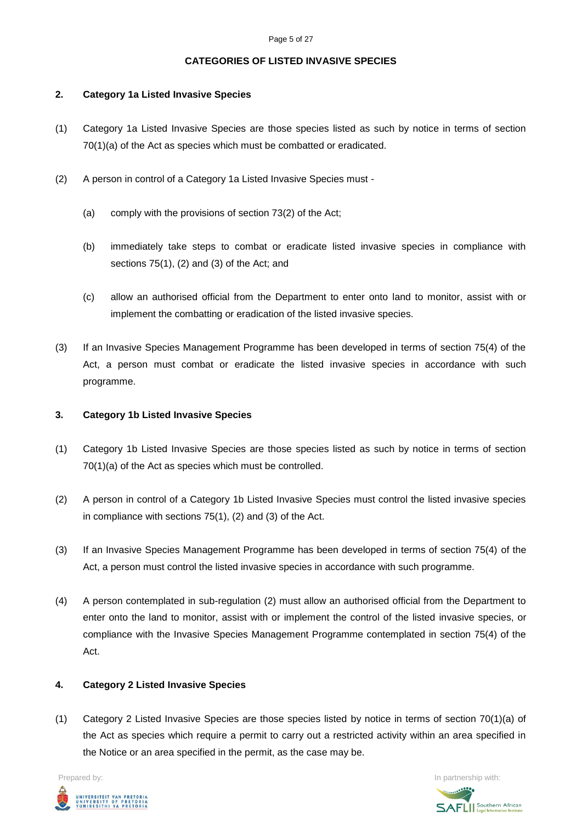### **CATEGORIES OF LISTED INVASIVE SPECIES**

### **2. Category 1a Listed Invasive Species**

- (1) Category 1a Listed Invasive Species are those species listed as such by notice in terms of section 70(1)(a) of the Act as species which must be combatted or eradicated.
- (2) A person in control of a Category 1a Listed Invasive Species must
	- (a) comply with the provisions of section 73(2) of the Act;
	- (b) immediately take steps to combat or eradicate listed invasive species in compliance with sections 75(1), (2) and (3) of the Act; and
	- (c) allow an authorised official from the Department to enter onto land to monitor, assist with or implement the combatting or eradication of the listed invasive species.
- (3) If an Invasive Species Management Programme has been developed in terms of section 75(4) of the Act, a person must combat or eradicate the listed invasive species in accordance with such programme.

### **3. Category 1b Listed Invasive Species**

- (1) Category 1b Listed Invasive Species are those species listed as such by notice in terms of section 70(1)(a) of the Act as species which must be controlled.
- (2) A person in control of a Category 1b Listed Invasive Species must control the listed invasive species in compliance with sections 75(1), (2) and (3) of the Act.
- (3) If an Invasive Species Management Programme has been developed in terms of section 75(4) of the Act, a person must control the listed invasive species in accordance with such programme.
- (4) A person contemplated in sub-regulation (2) must allow an authorised official from the Department to enter onto the land to monitor, assist with or implement the control of the listed invasive species, or compliance with the Invasive Species Management Programme contemplated in section 75(4) of the Act.

### **4. Category 2 Listed Invasive Species**

(1) Category 2 Listed Invasive Species are those species listed by notice in terms of section 70(1)(a) of the Act as species which require a permit to carry out a restricted activity within an area specified in the Notice or an area specified in the permit, as the case may be.



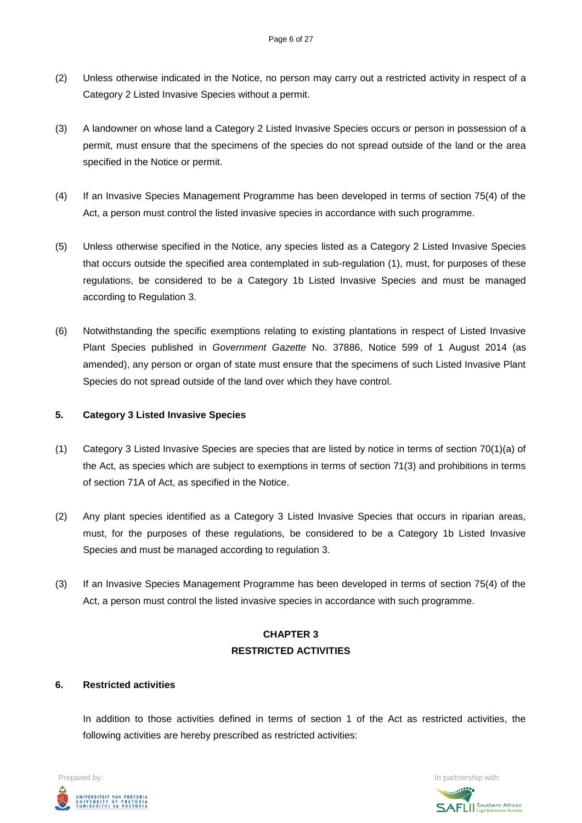- (2) Unless otherwise indicated in the Notice, no person may carry out a restricted activity in respect of a Category 2 Listed Invasive Species without a permit.
- (3) A landowner on whose land a Category 2 Listed Invasive Species occurs or person in possession of a permit, must ensure that the specimens of the species do not spread outside of the land or the area specified in the Notice or permit.
- (4) If an Invasive Species Management Programme has been developed in terms of section 75(4) of the Act, a person must control the listed invasive species in accordance with such programme.
- (5) Unless otherwise specified in the Notice, any species listed as a Category 2 Listed Invasive Species that occurs outside the specified area contemplated in sub-regulation (1), must, for purposes of these regulations, be considered to be a Category 1b Listed Invasive Species and must be managed according to Regulation 3.
- (6) Notwithstanding the specific exemptions relating to existing plantations in respect of Listed Invasive Plant Species published in *Government Gazette* No. 37886, Notice 599 of 1 August 2014 (as amended), any person or organ of state must ensure that the specimens of such Listed Invasive Plant Species do not spread outside of the land over which they have control.

### **5. Category 3 Listed Invasive Species**

- (1) Category 3 Listed Invasive Species are species that are listed by notice in terms of section 70(1)(a) of the Act, as species which are subject to exemptions in terms of section 71(3) and prohibitions in terms of section 71A of Act, as specified in the Notice.
- (2) Any plant species identified as a Category 3 Listed Invasive Species that occurs in riparian areas, must, for the purposes of these regulations, be considered to be a Category 1b Listed Invasive Species and must be managed according to regulation 3.
- (3) If an Invasive Species Management Programme has been developed in terms of section 75(4) of the Act, a person must control the listed invasive species in accordance with such programme.

# **CHAPTER 3 RESTRICTED ACTIVITIES**

### **6. Restricted activities**

In addition to those activities defined in terms of section 1 of the Act as restricted activities, the following activities are hereby prescribed as restricted activities:



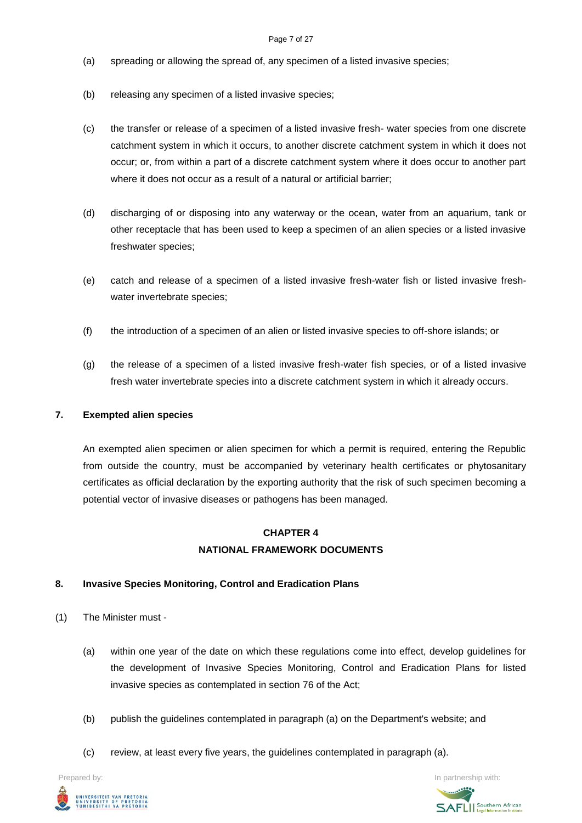- (a) spreading or allowing the spread of, any specimen of a listed invasive species;
- (b) releasing any specimen of a listed invasive species;
- (c) the transfer or release of a specimen of a listed invasive fresh- water species from one discrete catchment system in which it occurs, to another discrete catchment system in which it does not occur; or, from within a part of a discrete catchment system where it does occur to another part where it does not occur as a result of a natural or artificial barrier;
- (d) discharging of or disposing into any waterway or the ocean, water from an aquarium, tank or other receptacle that has been used to keep a specimen of an alien species or a listed invasive freshwater species;
- (e) catch and release of a specimen of a listed invasive fresh-water fish or listed invasive freshwater invertebrate species;
- (f) the introduction of a specimen of an alien or listed invasive species to off-shore islands; or
- (g) the release of a specimen of a listed invasive fresh-water fish species, or of a listed invasive fresh water invertebrate species into a discrete catchment system in which it already occurs.

### **7. Exempted alien species**

An exempted alien specimen or alien specimen for which a permit is required, entering the Republic from outside the country, must be accompanied by veterinary health certificates or phytosanitary certificates as official declaration by the exporting authority that the risk of such specimen becoming a potential vector of invasive diseases or pathogens has been managed.

### **CHAPTER 4 NATIONAL FRAMEWORK DOCUMENTS**

### **8. Invasive Species Monitoring, Control and Eradication Plans**

- (1) The Minister must
	- (a) within one year of the date on which these regulations come into effect, develop guidelines for the development of Invasive Species Monitoring, Control and Eradication Plans for listed invasive species as contemplated in section 76 of the Act;
	- (b) publish the guidelines contemplated in paragraph (a) on the Department's website; and
	- (c) review, at least every five years, the guidelines contemplated in paragraph (a).



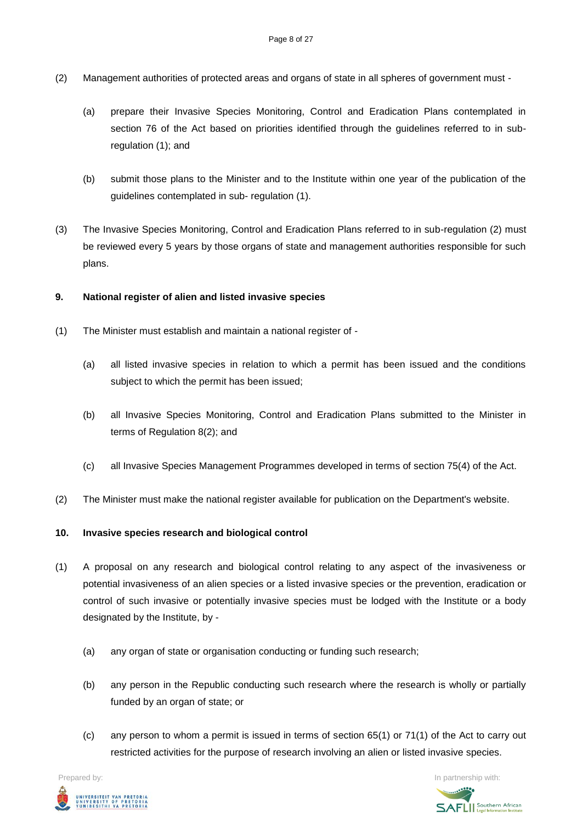- (2) Management authorities of protected areas and organs of state in all spheres of government must
	- (a) prepare their Invasive Species Monitoring, Control and Eradication Plans contemplated in section 76 of the Act based on priorities identified through the guidelines referred to in subregulation (1); and
	- (b) submit those plans to the Minister and to the Institute within one year of the publication of the guidelines contemplated in sub- regulation (1).
- (3) The Invasive Species Monitoring, Control and Eradication Plans referred to in sub-regulation (2) must be reviewed every 5 years by those organs of state and management authorities responsible for such plans.

### **9. National register of alien and listed invasive species**

- (1) The Minister must establish and maintain a national register of
	- (a) all listed invasive species in relation to which a permit has been issued and the conditions subject to which the permit has been issued;
	- (b) all Invasive Species Monitoring, Control and Eradication Plans submitted to the Minister in terms of Regulation 8(2); and
	- (c) all Invasive Species Management Programmes developed in terms of section 75(4) of the Act.
- (2) The Minister must make the national register available for publication on the Department's website.

### **10. Invasive species research and biological control**

- (1) A proposal on any research and biological control relating to any aspect of the invasiveness or potential invasiveness of an alien species or a listed invasive species or the prevention, eradication or control of such invasive or potentially invasive species must be lodged with the Institute or a body designated by the Institute, by -
	- (a) any organ of state or organisation conducting or funding such research;
	- (b) any person in the Republic conducting such research where the research is wholly or partially funded by an organ of state; or
	- (c) any person to whom a permit is issued in terms of section 65(1) or 71(1) of the Act to carry out restricted activities for the purpose of research involving an alien or listed invasive species.

**Prepared by:** In partnership with:  $\frac{1}{2}$  in partnership with:  $\frac{1}{2}$  in partnership with: UNIVERSITEIT VAN PRETORIA<br>UNIVERSITY OF PRETORIA<br>YUNIBESITHI YA PRETORIA

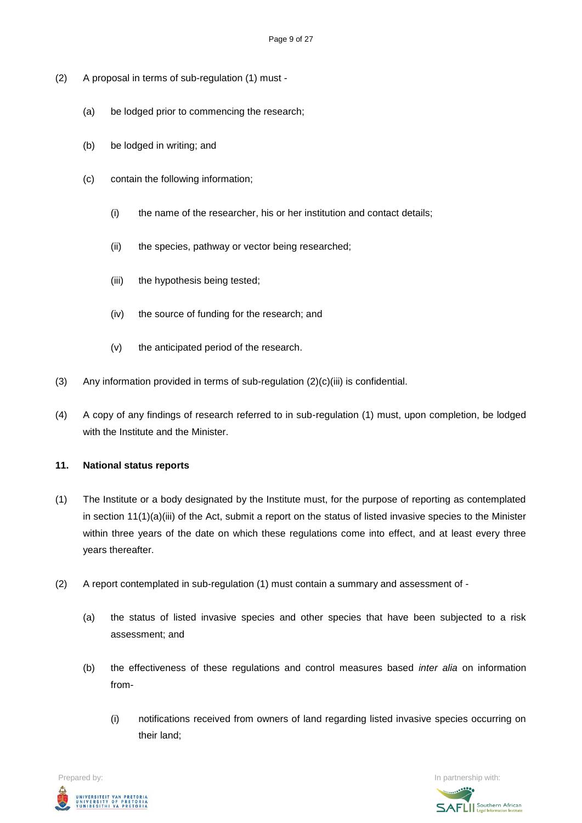- (2) A proposal in terms of sub-regulation (1) must
	- (a) be lodged prior to commencing the research;
	- (b) be lodged in writing; and
	- (c) contain the following information;
		- (i) the name of the researcher, his or her institution and contact details;
		- (ii) the species, pathway or vector being researched;
		- (iii) the hypothesis being tested;
		- (iv) the source of funding for the research; and
		- (v) the anticipated period of the research.
- (3) Any information provided in terms of sub-regulation (2)(c)(iii) is confidential.
- (4) A copy of any findings of research referred to in sub-regulation (1) must, upon completion, be lodged with the Institute and the Minister.

### **11. National status reports**

- (1) The Institute or a body designated by the Institute must, for the purpose of reporting as contemplated in section 11(1)(a)(iii) of the Act, submit a report on the status of listed invasive species to the Minister within three years of the date on which these regulations come into effect, and at least every three years thereafter.
- (2) A report contemplated in sub-regulation (1) must contain a summary and assessment of
	- (a) the status of listed invasive species and other species that have been subjected to a risk assessment; and
	- (b) the effectiveness of these regulations and control measures based *inter alia* on information from-
		- (i) notifications received from owners of land regarding listed invasive species occurring on their land;



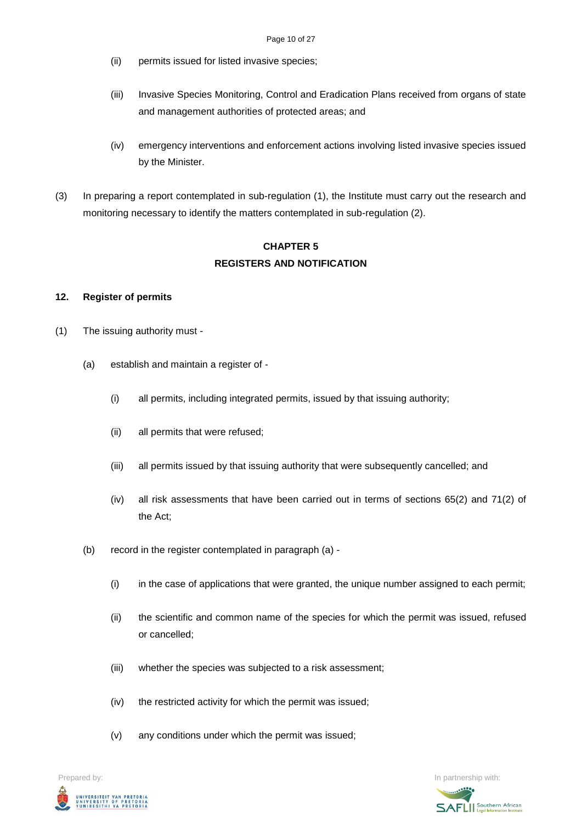- (ii) permits issued for listed invasive species;
- (iii) Invasive Species Monitoring, Control and Eradication Plans received from organs of state and management authorities of protected areas; and
- (iv) emergency interventions and enforcement actions involving listed invasive species issued by the Minister.
- (3) In preparing a report contemplated in sub-regulation (1), the Institute must carry out the research and monitoring necessary to identify the matters contemplated in sub-regulation (2).

### **CHAPTER 5 REGISTERS AND NOTIFICATION**

### **12. Register of permits**

- (1) The issuing authority must
	- (a) establish and maintain a register of
		- (i) all permits, including integrated permits, issued by that issuing authority;
		- (ii) all permits that were refused;
		- (iii) all permits issued by that issuing authority that were subsequently cancelled; and
		- (iv) all risk assessments that have been carried out in terms of sections 65(2) and 71(2) of the Act;
	- (b) record in the register contemplated in paragraph (a)
		- (i) in the case of applications that were granted, the unique number assigned to each permit;
		- (ii) the scientific and common name of the species for which the permit was issued, refused or cancelled;
		- (iii) whether the species was subjected to a risk assessment;
		- (iv) the restricted activity for which the permit was issued;
		- (v) any conditions under which the permit was issued;



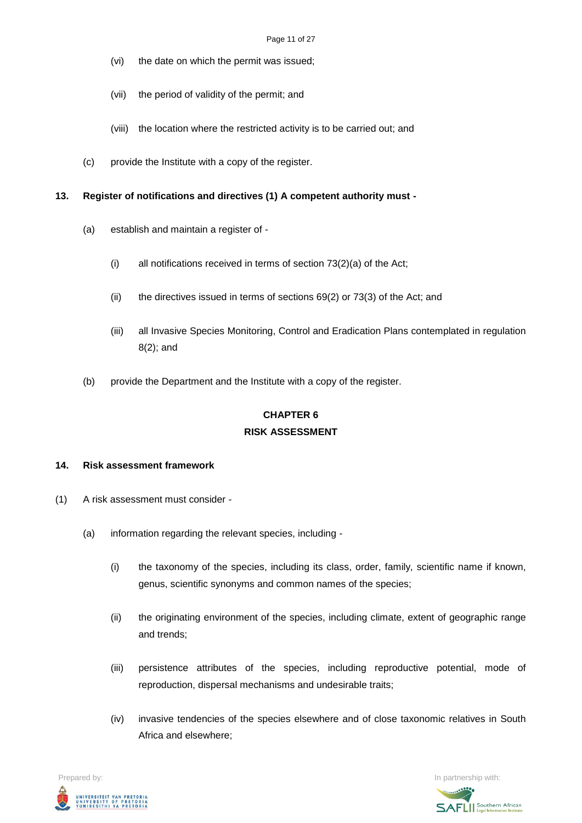- (vi) the date on which the permit was issued;
- (vii) the period of validity of the permit; and
- (viii) the location where the restricted activity is to be carried out; and
- (c) provide the Institute with a copy of the register.

### **13. Register of notifications and directives (1) A competent authority must -**

- (a) establish and maintain a register of
	- (i) all notifications received in terms of section 73(2)(a) of the Act;
	- (ii) the directives issued in terms of sections 69(2) or 73(3) of the Act; and
	- (iii) all Invasive Species Monitoring, Control and Eradication Plans contemplated in regulation 8(2); and
- (b) provide the Department and the Institute with a copy of the register.

# **CHAPTER 6 RISK ASSESSMENT**

### **14. Risk assessment framework**

- (1) A risk assessment must consider
	- (a) information regarding the relevant species, including
		- (i) the taxonomy of the species, including its class, order, family, scientific name if known, genus, scientific synonyms and common names of the species;
		- (ii) the originating environment of the species, including climate, extent of geographic range and trends;
		- (iii) persistence attributes of the species, including reproductive potential, mode of reproduction, dispersal mechanisms and undesirable traits;
		- (iv) invasive tendencies of the species elsewhere and of close taxonomic relatives in South Africa and elsewhere;



**SAFLI** Southern African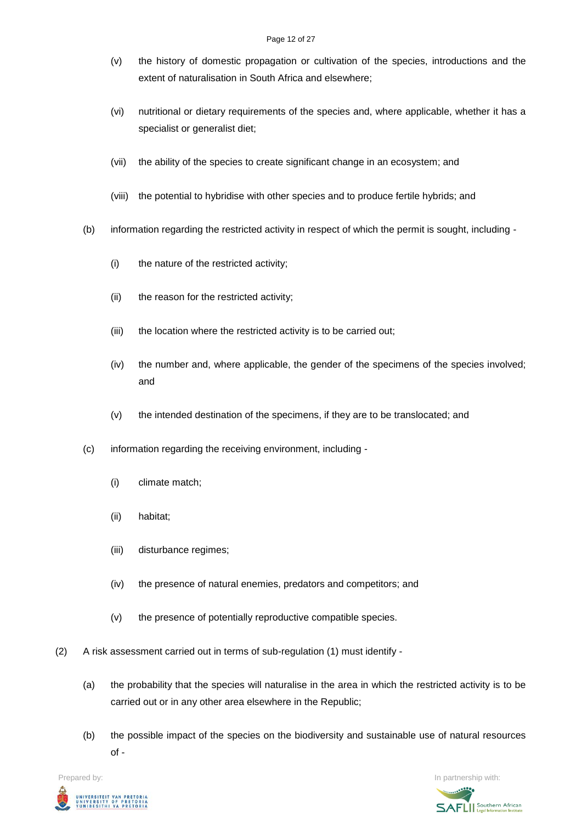- (v) the history of domestic propagation or cultivation of the species, introductions and the extent of naturalisation in South Africa and elsewhere;
- (vi) nutritional or dietary requirements of the species and, where applicable, whether it has a specialist or generalist diet;
- (vii) the ability of the species to create significant change in an ecosystem; and
- (viii) the potential to hybridise with other species and to produce fertile hybrids; and
- (b) information regarding the restricted activity in respect of which the permit is sought, including
	- (i) the nature of the restricted activity;
	- (ii) the reason for the restricted activity;
	- (iii) the location where the restricted activity is to be carried out;
	- (iv) the number and, where applicable, the gender of the specimens of the species involved; and
	- (v) the intended destination of the specimens, if they are to be translocated; and
- (c) information regarding the receiving environment, including
	- (i) climate match;
	- (ii) habitat;
	- (iii) disturbance regimes;
	- (iv) the presence of natural enemies, predators and competitors; and
	- (v) the presence of potentially reproductive compatible species.
- (2) A risk assessment carried out in terms of sub-regulation (1) must identify
	- (a) the probability that the species will naturalise in the area in which the restricted activity is to be carried out or in any other area elsewhere in the Republic;
	- (b) the possible impact of the species on the biodiversity and sustainable use of natural resources of -

**Prepared by:** In partnership with:  $\frac{1}{2}$  in partnership with:  $\frac{1}{2}$  in partnership with: UNIVERSITEIT VAN PRETORIA<br>UNIVERSITY OF PRETORIA<br>YUNIBESITHI YA PRETORIA

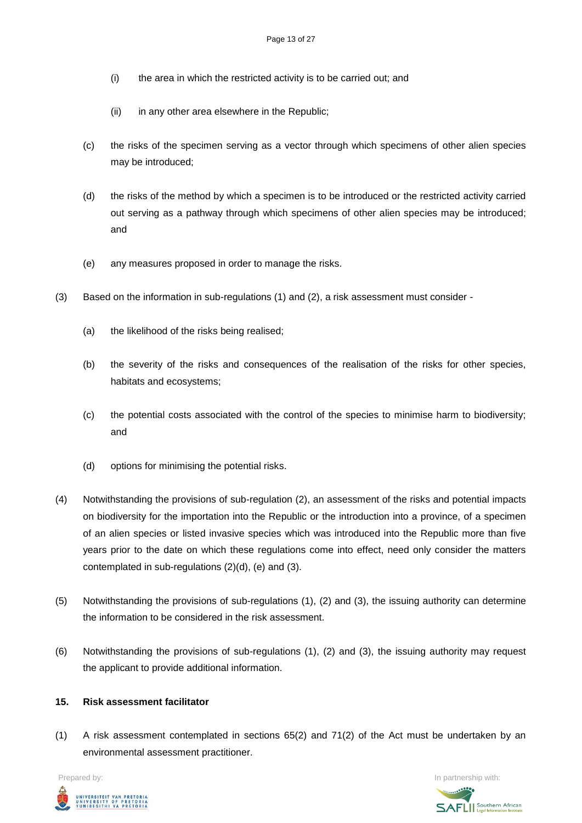- (i) the area in which the restricted activity is to be carried out; and
- (ii) in any other area elsewhere in the Republic;
- (c) the risks of the specimen serving as a vector through which specimens of other alien species may be introduced;
- (d) the risks of the method by which a specimen is to be introduced or the restricted activity carried out serving as a pathway through which specimens of other alien species may be introduced; and
- (e) any measures proposed in order to manage the risks.
- (3) Based on the information in sub-regulations (1) and (2), a risk assessment must consider
	- (a) the likelihood of the risks being realised;
	- (b) the severity of the risks and consequences of the realisation of the risks for other species, habitats and ecosystems;
	- (c) the potential costs associated with the control of the species to minimise harm to biodiversity; and
	- (d) options for minimising the potential risks.
- (4) Notwithstanding the provisions of sub-regulation (2), an assessment of the risks and potential impacts on biodiversity for the importation into the Republic or the introduction into a province, of a specimen of an alien species or listed invasive species which was introduced into the Republic more than five years prior to the date on which these regulations come into effect, need only consider the matters contemplated in sub-regulations (2)(d), (e) and (3).
- (5) Notwithstanding the provisions of sub-regulations (1), (2) and (3), the issuing authority can determine the information to be considered in the risk assessment.
- (6) Notwithstanding the provisions of sub-regulations (1), (2) and (3), the issuing authority may request the applicant to provide additional information.

### **15. Risk assessment facilitator**

(1) A risk assessment contemplated in sections 65(2) and 71(2) of the Act must be undertaken by an environmental assessment practitioner.



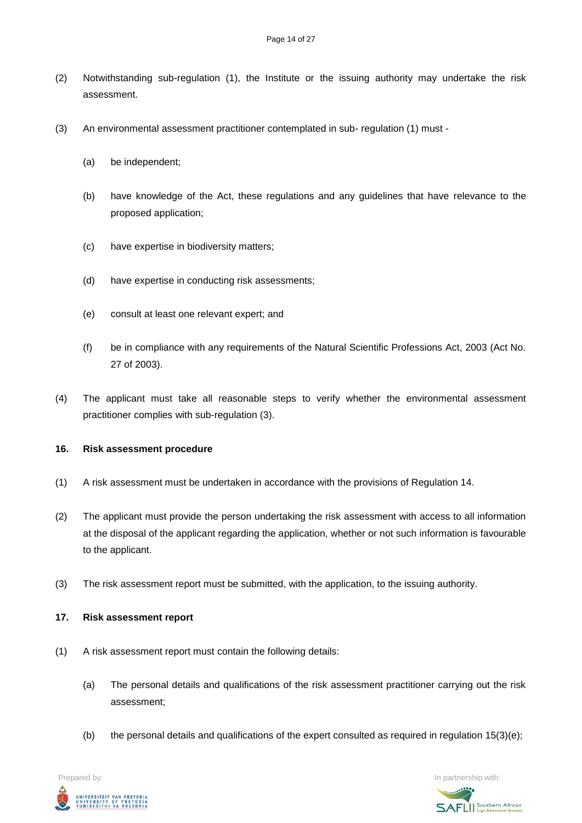- (2) Notwithstanding sub-regulation (1), the Institute or the issuing authority may undertake the risk assessment.
- (3) An environmental assessment practitioner contemplated in sub- regulation (1) must
	- (a) be independent;
	- (b) have knowledge of the Act, these regulations and any guidelines that have relevance to the proposed application;
	- (c) have expertise in biodiversity matters;
	- (d) have expertise in conducting risk assessments;
	- (e) consult at least one relevant expert; and
	- (f) be in compliance with any requirements of the Natural Scientific Professions Act, 2003 (Act No. 27 of 2003).
- (4) The applicant must take all reasonable steps to verify whether the environmental assessment practitioner complies with sub-regulation (3).

#### **16. Risk assessment procedure**

- (1) A risk assessment must be undertaken in accordance with the provisions of Regulation 14.
- (2) The applicant must provide the person undertaking the risk assessment with access to all information at the disposal of the applicant regarding the application, whether or not such information is favourable to the applicant.
- (3) The risk assessment report must be submitted, with the application, to the issuing authority.
- **17. Risk assessment report**
- (1) A risk assessment report must contain the following details:
	- (a) The personal details and qualifications of the risk assessment practitioner carrying out the risk assessment;
	- (b) the personal details and qualifications of the expert consulted as required in regulation 15(3)(e);

**Prepared by:** In partnership with:  $\frac{1}{2}$  in partnership with:  $\frac{1}{2}$  in partnership with: UNIVERSITEIT VAN PRETORIA<br>UNIVERSITY OF PRETORIA<br>YUNIBESITHI YA PRETORIA

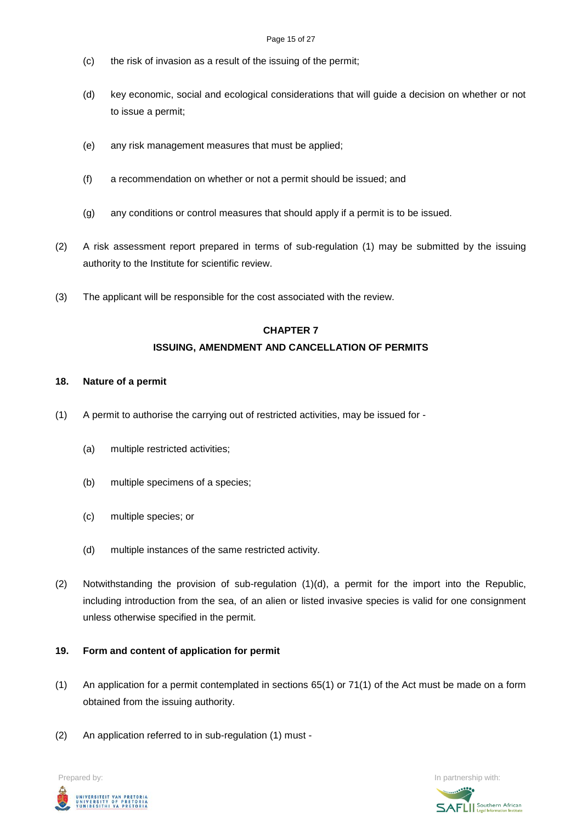- (c) the risk of invasion as a result of the issuing of the permit;
- (d) key economic, social and ecological considerations that will guide a decision on whether or not to issue a permit;
- (e) any risk management measures that must be applied;
- (f) a recommendation on whether or not a permit should be issued; and
- (g) any conditions or control measures that should apply if a permit is to be issued.
- (2) A risk assessment report prepared in terms of sub-regulation (1) may be submitted by the issuing authority to the Institute for scientific review.
- (3) The applicant will be responsible for the cost associated with the review.

# **CHAPTER 7 ISSUING, AMENDMENT AND CANCELLATION OF PERMITS**

### **18. Nature of a permit**

- (1) A permit to authorise the carrying out of restricted activities, may be issued for
	- (a) multiple restricted activities;
	- (b) multiple specimens of a species;
	- (c) multiple species; or
	- (d) multiple instances of the same restricted activity.
- (2) Notwithstanding the provision of sub-regulation (1)(d), a permit for the import into the Republic, including introduction from the sea, of an alien or listed invasive species is valid for one consignment unless otherwise specified in the permit.

### **19. Form and content of application for permit**

- (1) An application for a permit contemplated in sections 65(1) or 71(1) of the Act must be made on a form obtained from the issuing authority.
- (2) An application referred to in sub-regulation (1) must -



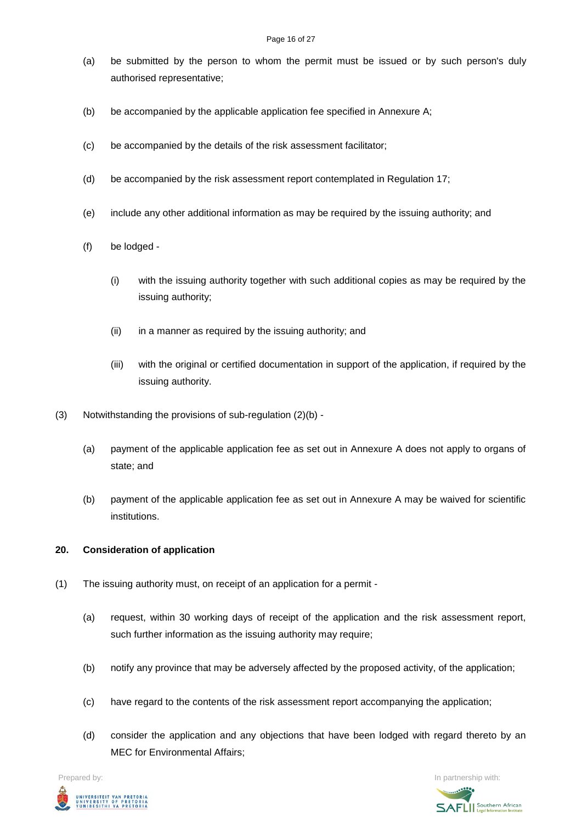#### Page 16 of 27

- (a) be submitted by the person to whom the permit must be issued or by such person's duly authorised representative;
- (b) be accompanied by the applicable application fee specified in Annexure A;
- (c) be accompanied by the details of the risk assessment facilitator;
- (d) be accompanied by the risk assessment report contemplated in Regulation 17;
- (e) include any other additional information as may be required by the issuing authority; and
- (f) be lodged
	- (i) with the issuing authority together with such additional copies as may be required by the issuing authority;
	- (ii) in a manner as required by the issuing authority; and
	- (iii) with the original or certified documentation in support of the application, if required by the issuing authority.
- (3) Notwithstanding the provisions of sub-regulation (2)(b)
	- (a) payment of the applicable application fee as set out in Annexure A does not apply to organs of state; and
	- (b) payment of the applicable application fee as set out in Annexure A may be waived for scientific institutions.

### **20. Consideration of application**

- (1) The issuing authority must, on receipt of an application for a permit
	- (a) request, within 30 working days of receipt of the application and the risk assessment report, such further information as the issuing authority may require;
	- (b) notify any province that may be adversely affected by the proposed activity, of the application;
	- (c) have regard to the contents of the risk assessment report accompanying the application;
	- (d) consider the application and any objections that have been lodged with regard thereto by an MEC for Environmental Affairs;

**Prepared by:** In partnership with:  $\frac{1}{2}$  in partnership with:  $\frac{1}{2}$  in partnership with: UNIVERSITEIT VAN PRETORIA<br>UNIVERSITY OF PRETORIA<br>YUNIBESITHI YA PRETORIA

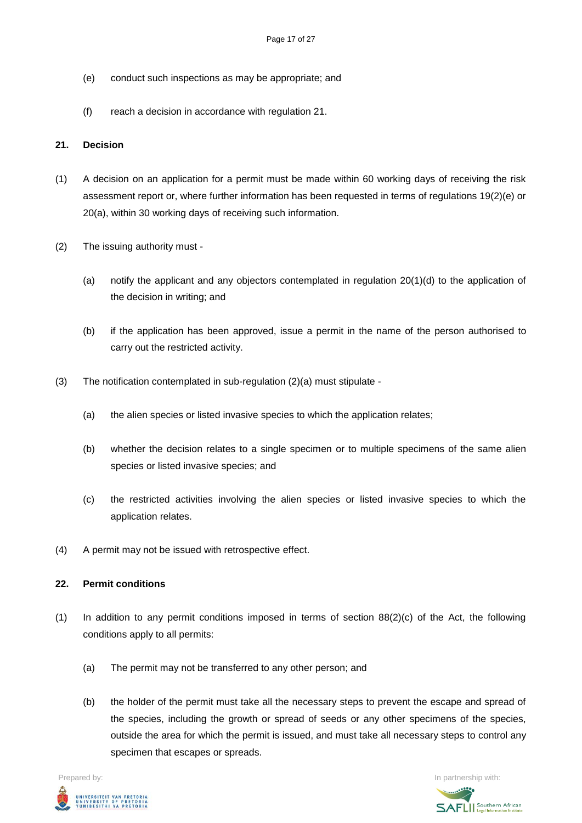- (e) conduct such inspections as may be appropriate; and
- (f) reach a decision in accordance with regulation 21.

### **21. Decision**

- (1) A decision on an application for a permit must be made within 60 working days of receiving the risk assessment report or, where further information has been requested in terms of regulations 19(2)(e) or 20(a), within 30 working days of receiving such information.
- (2) The issuing authority must
	- (a) notify the applicant and any objectors contemplated in regulation 20(1)(d) to the application of the decision in writing; and
	- (b) if the application has been approved, issue a permit in the name of the person authorised to carry out the restricted activity.
- (3) The notification contemplated in sub-regulation (2)(a) must stipulate
	- (a) the alien species or listed invasive species to which the application relates;
	- (b) whether the decision relates to a single specimen or to multiple specimens of the same alien species or listed invasive species; and
	- (c) the restricted activities involving the alien species or listed invasive species to which the application relates.
- (4) A permit may not be issued with retrospective effect.

### **22. Permit conditions**

- (1) In addition to any permit conditions imposed in terms of section 88(2)(c) of the Act, the following conditions apply to all permits:
	- (a) The permit may not be transferred to any other person; and
	- (b) the holder of the permit must take all the necessary steps to prevent the escape and spread of the species, including the growth or spread of seeds or any other specimens of the species, outside the area for which the permit is issued, and must take all necessary steps to control any specimen that escapes or spreads.

**Prepared by:** In partnership with:  $\frac{1}{2}$  in partnership with:  $\frac{1}{2}$  in partnership with: UNIVERSITEIT VAN PRETORIA<br>UNIVERSITY OF PRETORIA<br>YUNIBESITHI YA PRETORIA

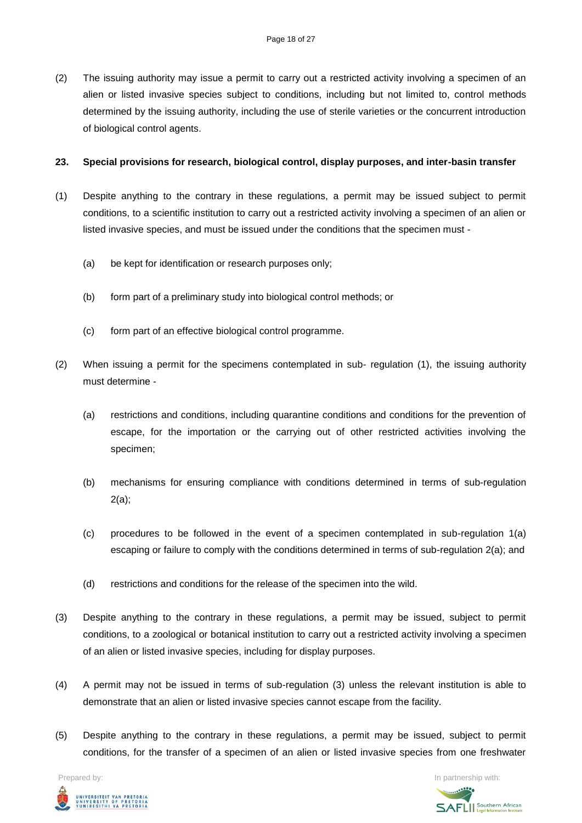(2) The issuing authority may issue a permit to carry out a restricted activity involving a specimen of an alien or listed invasive species subject to conditions, including but not limited to, control methods determined by the issuing authority, including the use of sterile varieties or the concurrent introduction of biological control agents.

#### **23. Special provisions for research, biological control, display purposes, and inter-basin transfer**

- (1) Despite anything to the contrary in these regulations, a permit may be issued subject to permit conditions, to a scientific institution to carry out a restricted activity involving a specimen of an alien or listed invasive species, and must be issued under the conditions that the specimen must -
	- (a) be kept for identification or research purposes only;
	- (b) form part of a preliminary study into biological control methods; or
	- (c) form part of an effective biological control programme.
- (2) When issuing a permit for the specimens contemplated in sub- regulation (1), the issuing authority must determine -
	- (a) restrictions and conditions, including quarantine conditions and conditions for the prevention of escape, for the importation or the carrying out of other restricted activities involving the specimen;
	- (b) mechanisms for ensuring compliance with conditions determined in terms of sub-regulation 2(a);
	- (c) procedures to be followed in the event of a specimen contemplated in sub-regulation 1(a) escaping or failure to comply with the conditions determined in terms of sub-regulation 2(a); and
	- (d) restrictions and conditions for the release of the specimen into the wild.
- (3) Despite anything to the contrary in these regulations, a permit may be issued, subject to permit conditions, to a zoological or botanical institution to carry out a restricted activity involving a specimen of an alien or listed invasive species, including for display purposes.
- (4) A permit may not be issued in terms of sub-regulation (3) unless the relevant institution is able to demonstrate that an alien or listed invasive species cannot escape from the facility.
- (5) Despite anything to the contrary in these regulations, a permit may be issued, subject to permit conditions, for the transfer of a specimen of an alien or listed invasive species from one freshwater



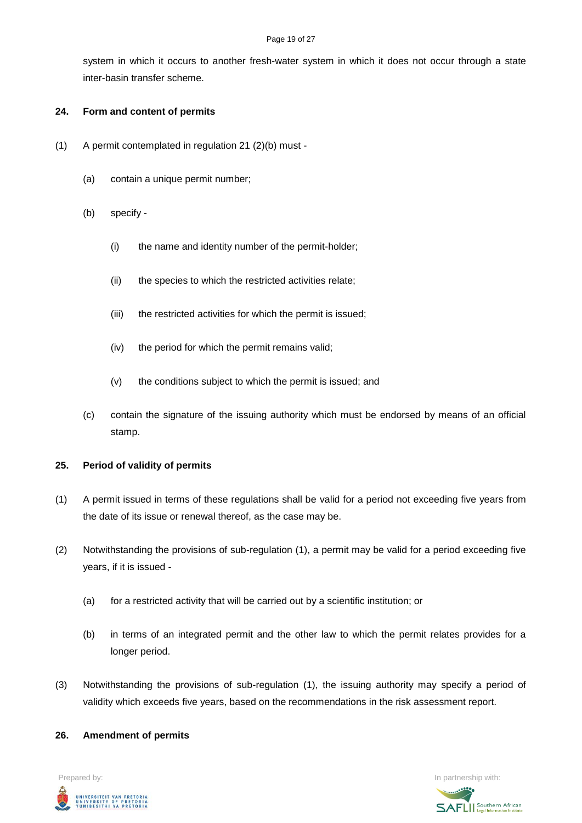#### Page 19 of 27

system in which it occurs to another fresh-water system in which it does not occur through a state inter-basin transfer scheme.

### **24. Form and content of permits**

- (1) A permit contemplated in regulation 21 (2)(b) must
	- (a) contain a unique permit number;
	- (b) specify
		- (i) the name and identity number of the permit-holder;
		- (ii) the species to which the restricted activities relate;
		- (iii) the restricted activities for which the permit is issued;
		- (iv) the period for which the permit remains valid;
		- (v) the conditions subject to which the permit is issued; and
	- (c) contain the signature of the issuing authority which must be endorsed by means of an official stamp.

# **25. Period of validity of permits**

- (1) A permit issued in terms of these regulations shall be valid for a period not exceeding five years from the date of its issue or renewal thereof, as the case may be.
- (2) Notwithstanding the provisions of sub-regulation (1), a permit may be valid for a period exceeding five years, if it is issued -
	- (a) for a restricted activity that will be carried out by a scientific institution; or
	- (b) in terms of an integrated permit and the other law to which the permit relates provides for a longer period.
- (3) Notwithstanding the provisions of sub-regulation (1), the issuing authority may specify a period of validity which exceeds five years, based on the recommendations in the risk assessment report.

# **26. Amendment of permits**



**SAFLI** Southern African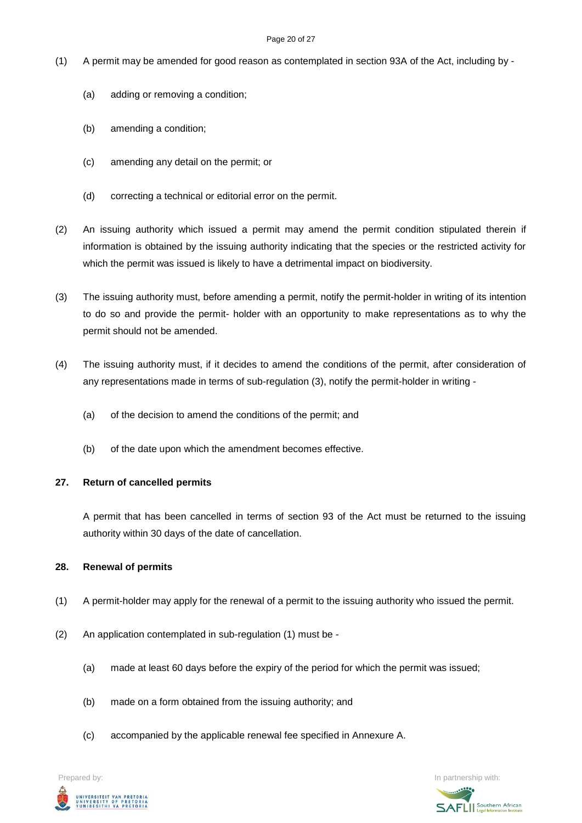#### Page 20 of 27

- (1) A permit may be amended for good reason as contemplated in section 93A of the Act, including by
	- (a) adding or removing a condition;
	- (b) amending a condition;
	- (c) amending any detail on the permit; or
	- (d) correcting a technical or editorial error on the permit.
- (2) An issuing authority which issued a permit may amend the permit condition stipulated therein if information is obtained by the issuing authority indicating that the species or the restricted activity for which the permit was issued is likely to have a detrimental impact on biodiversity.
- (3) The issuing authority must, before amending a permit, notify the permit-holder in writing of its intention to do so and provide the permit- holder with an opportunity to make representations as to why the permit should not be amended.
- (4) The issuing authority must, if it decides to amend the conditions of the permit, after consideration of any representations made in terms of sub-regulation (3), notify the permit-holder in writing -
	- (a) of the decision to amend the conditions of the permit; and
	- (b) of the date upon which the amendment becomes effective.

### **27. Return of cancelled permits**

A permit that has been cancelled in terms of section 93 of the Act must be returned to the issuing authority within 30 days of the date of cancellation.

### **28. Renewal of permits**

- (1) A permit-holder may apply for the renewal of a permit to the issuing authority who issued the permit.
- (2) An application contemplated in sub-regulation (1) must be
	- (a) made at least 60 days before the expiry of the period for which the permit was issued;
	- (b) made on a form obtained from the issuing authority; and
	- (c) accompanied by the applicable renewal fee specified in Annexure A.

UNIVERSITEIT VAN PRETORIA<br>UNIVERSITY OF PRETORIA<br>YUNIBESITHI YA PRETORIA

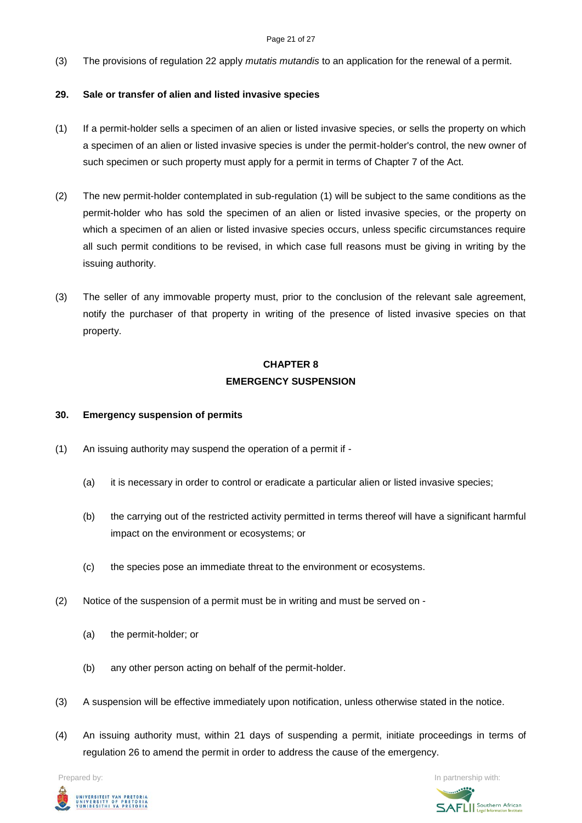#### Page 21 of 27

(3) The provisions of regulation 22 apply *mutatis mutandis* to an application for the renewal of a permit.

### **29. Sale or transfer of alien and listed invasive species**

- (1) If a permit-holder sells a specimen of an alien or listed invasive species, or sells the property on which a specimen of an alien or listed invasive species is under the permit-holder's control, the new owner of such specimen or such property must apply for a permit in terms of Chapter 7 of the Act.
- (2) The new permit-holder contemplated in sub-regulation (1) will be subject to the same conditions as the permit-holder who has sold the specimen of an alien or listed invasive species, or the property on which a specimen of an alien or listed invasive species occurs, unless specific circumstances require all such permit conditions to be revised, in which case full reasons must be giving in writing by the issuing authority.
- (3) The seller of any immovable property must, prior to the conclusion of the relevant sale agreement, notify the purchaser of that property in writing of the presence of listed invasive species on that property.

# **CHAPTER 8 EMERGENCY SUSPENSION**

### **30. Emergency suspension of permits**

- (1) An issuing authority may suspend the operation of a permit if
	- (a) it is necessary in order to control or eradicate a particular alien or listed invasive species;
	- (b) the carrying out of the restricted activity permitted in terms thereof will have a significant harmful impact on the environment or ecosystems; or
	- (c) the species pose an immediate threat to the environment or ecosystems.
- (2) Notice of the suspension of a permit must be in writing and must be served on
	- (a) the permit-holder; or
	- (b) any other person acting on behalf of the permit-holder.
- (3) A suspension will be effective immediately upon notification, unless otherwise stated in the notice.
- (4) An issuing authority must, within 21 days of suspending a permit, initiate proceedings in terms of regulation 26 to amend the permit in order to address the cause of the emergency.



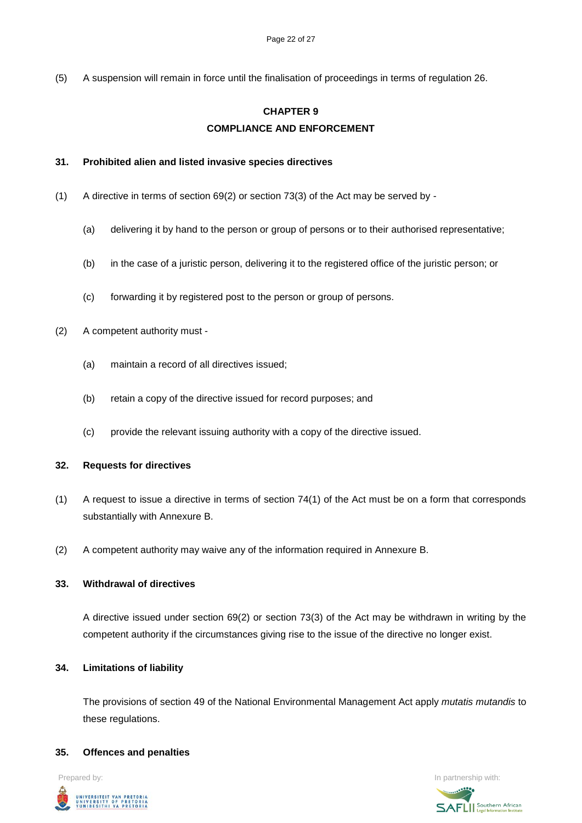(5) A suspension will remain in force until the finalisation of proceedings in terms of regulation 26.

# **CHAPTER 9 COMPLIANCE AND ENFORCEMENT**

#### **31. Prohibited alien and listed invasive species directives**

- (1) A directive in terms of section 69(2) or section 73(3) of the Act may be served by
	- (a) delivering it by hand to the person or group of persons or to their authorised representative;
	- (b) in the case of a juristic person, delivering it to the registered office of the juristic person; or
	- (c) forwarding it by registered post to the person or group of persons.
- (2) A competent authority must
	- (a) maintain a record of all directives issued;
	- (b) retain a copy of the directive issued for record purposes; and
	- (c) provide the relevant issuing authority with a copy of the directive issued.

#### **32. Requests for directives**

- (1) A request to issue a directive in terms of section 74(1) of the Act must be on a form that corresponds substantially with Annexure B.
- (2) A competent authority may waive any of the information required in Annexure B.

#### **33. Withdrawal of directives**

A directive issued under section 69(2) or section 73(3) of the Act may be withdrawn in writing by the competent authority if the circumstances giving rise to the issue of the directive no longer exist.

#### **34. Limitations of liability**

The provisions of section 49 of the National Environmental Management Act apply *mutatis mutandis* to these regulations.

#### **35. Offences and penalties**



**Prepared by:** In partnership with:  $\frac{1}{2}$  in partnership with:  $\frac{1}{2}$  in partnership with: **SAFLI** Southern African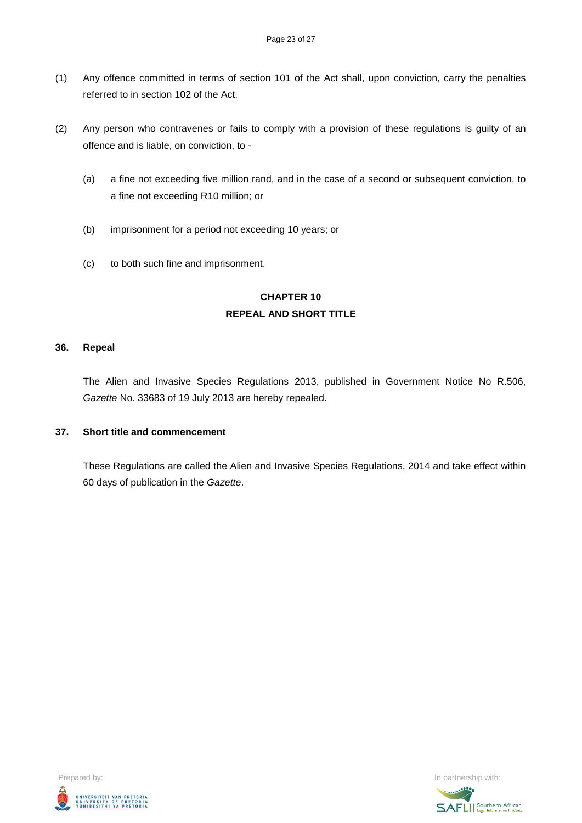- (1) Any offence committed in terms of section 101 of the Act shall, upon conviction, carry the penalties referred to in section 102 of the Act.
- (2) Any person who contravenes or fails to comply with a provision of these regulations is guilty of an offence and is liable, on conviction, to -
	- (a) a fine not exceeding five million rand, and in the case of a second or subsequent conviction, to a fine not exceeding R10 million; or
	- (b) imprisonment for a period not exceeding 10 years; or
	- (c) to both such fine and imprisonment.

### **CHAPTER 10 REPEAL AND SHORT TITLE**

### **36. Repeal**

The Alien and Invasive Species Regulations 2013, published in Government Notice No R.506, *Gazette* No. 33683 of 19 July 2013 are hereby repealed.

### **37. Short title and commencement**

These Regulations are called the Alien and Invasive Species Regulations, 2014 and take effect within 60 days of publication in the *Gazette*.



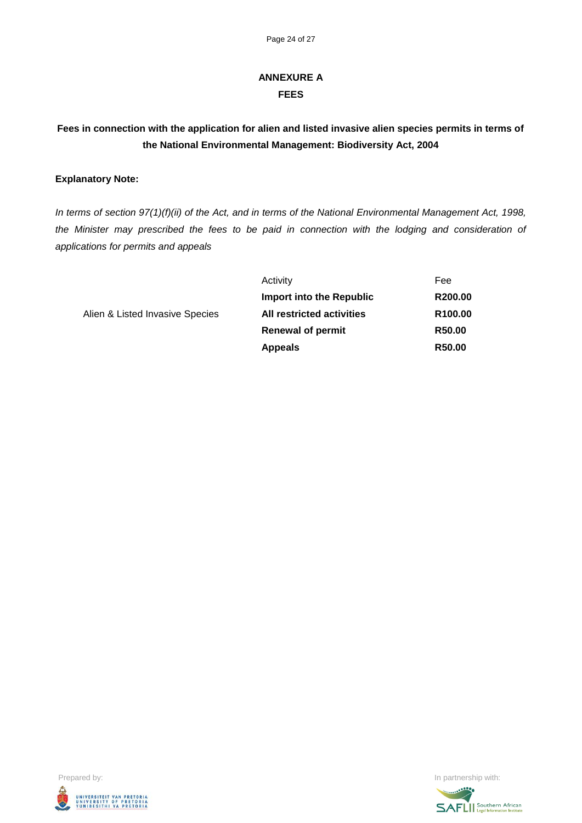# **ANNEXURE A FEES**

# **Fees in connection with the application for alien and listed invasive alien species permits in terms of the National Environmental Management: Biodiversity Act, 2004**

### **Explanatory Note:**

*In terms of section 97(1)(f)(ii) of the Act, and in terms of the National Environmental Management Act, 1998, the Minister may prescribed the fees to be paid in connection with the lodging and consideration of applications for permits and appeals*

|                                 | Activity                         | Fee                 |
|---------------------------------|----------------------------------|---------------------|
|                                 | Import into the Republic         | R200.00             |
| Alien & Listed Invasive Species | <b>All restricted activities</b> | R <sub>100.00</sub> |
|                                 | <b>Renewal of permit</b>         | R <sub>50.00</sub>  |
|                                 | <b>Appeals</b>                   | R50.00              |



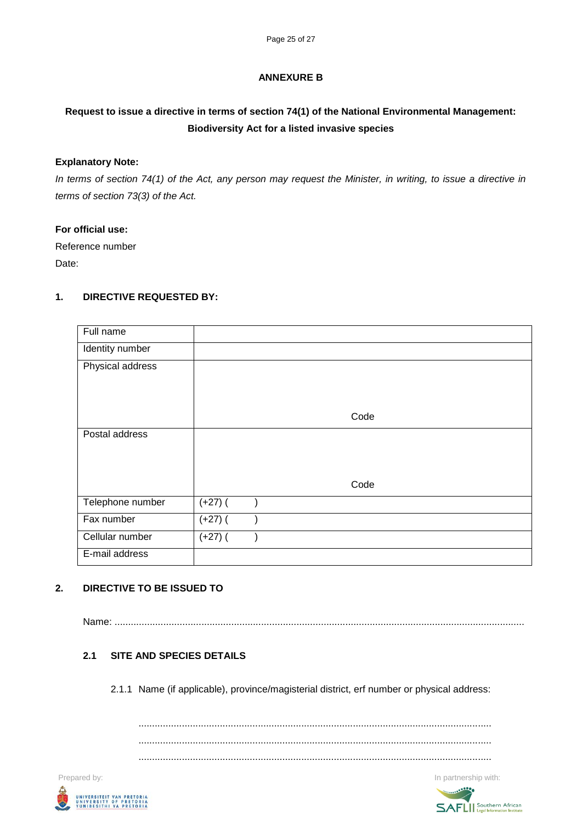### **ANNEXURE B**

# **Request to issue a directive in terms of section 74(1) of the National Environmental Management: Biodiversity Act for a listed invasive species**

### **Explanatory Note:**

*In terms of section 74(1) of the Act, any person may request the Minister, in writing, to issue a directive in terms of section 73(3) of the Act.*

### **For official use:**

Reference number Date:

### **1. DIRECTIVE REQUESTED BY:**

| Full name        |           |  |      |
|------------------|-----------|--|------|
| Identity number  |           |  |      |
| Physical address |           |  |      |
|                  |           |  |      |
|                  |           |  |      |
|                  |           |  | Code |
| Postal address   |           |  |      |
|                  |           |  |      |
|                  |           |  |      |
|                  |           |  | Code |
| Telephone number | $(+27)$ ( |  |      |
| Fax number       | $(+27)$ ( |  |      |
| Cellular number  | $(+27)$ ( |  |      |
| E-mail address   |           |  |      |

### **2. DIRECTIVE TO BE ISSUED TO**

Name: .......................................................................................................................................................

### **2.1 SITE AND SPECIES DETAILS**

2.1.1 Name (if applicable), province/magisterial district, erf number or physical address:

.................................................................................................................................. .................................................................................................................................. ..................................................................................................................................

**Prepared by:** In partnership with:  $\blacksquare$  In partnership with:  $\blacksquare$  In partnership with:



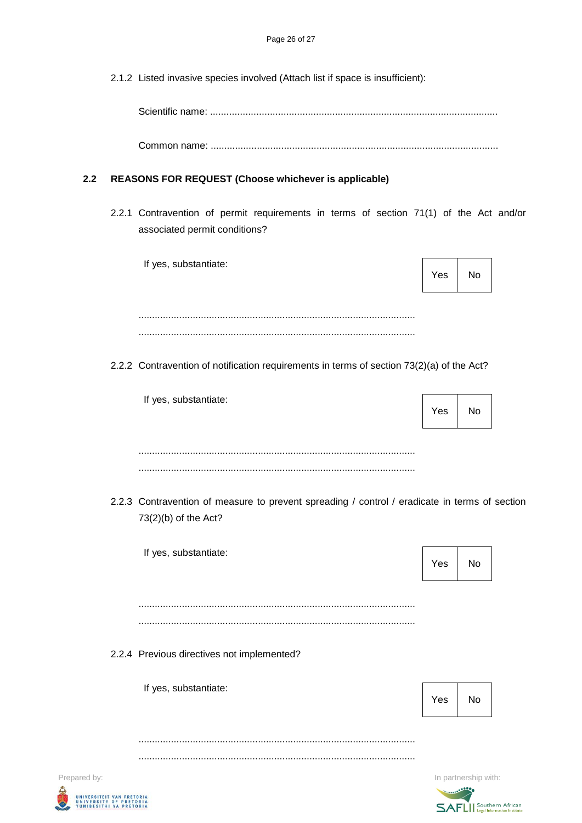2.1.2 Listed invasive species involved (Attach list if space is insufficient):

Scientific name: ..........................................................................................................

Common name: ..........................................................................................................

### **2.2 REASONS FOR REQUEST (Choose whichever is applicable)**

2.2.1 Contravention of permit requirements in terms of section 71(1) of the Act and/or associated permit conditions?

|              | If yes, substantiate:                                                                                                 | Yes | No                   |
|--------------|-----------------------------------------------------------------------------------------------------------------------|-----|----------------------|
|              |                                                                                                                       |     |                      |
|              | 2.2.2 Contravention of notification requirements in terms of section 73(2)(a) of the Act?                             |     |                      |
|              | If yes, substantiate:                                                                                                 | Yes | No                   |
|              |                                                                                                                       |     |                      |
|              | 2.2.3 Contravention of measure to prevent spreading / control / eradicate in terms of section<br>73(2)(b) of the Act? |     |                      |
|              | If yes, substantiate:                                                                                                 | Yes | No                   |
|              |                                                                                                                       |     |                      |
|              | 2.2.4 Previous directives not implemented?                                                                            |     |                      |
|              | If yes, substantiate:                                                                                                 | Yes | No                   |
|              |                                                                                                                       |     |                      |
| Prepared by: |                                                                                                                       |     | In partnership with: |